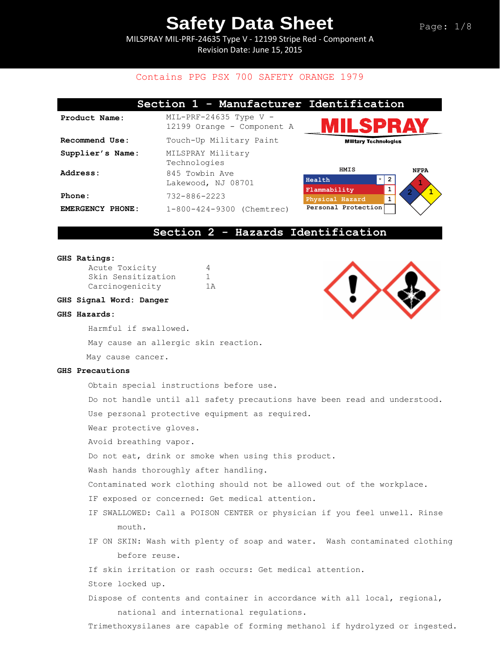MILSPRAY MIL-PRF-24635 Type V - 12199 Stripe Red - Component A Revision Date: June 15, 2015

### Contains PPG PSX 700 SAFETY ORANGE 1979

|                  | Section 1 - Manufacturer Identification                |                                                            |
|------------------|--------------------------------------------------------|------------------------------------------------------------|
| Product Name:    | $MIL-PRF-24635$ Type V -<br>12199 Orange - Component A | <b>IILSPRAY</b>                                            |
| Recommend Use:   | Touch-Up Military Paint                                | <b>Military Technologies</b>                               |
| Supplier's Name: | MILSPRAY Military<br>Technologies                      |                                                            |
| Address:         | 845 Towbin Ave<br>Lakewood, NJ 08701                   | HMIS<br><b>NFPA</b><br>$\star$<br>$\overline{2}$<br>Health |
| Phone:           | $732 - 886 - 2223$                                     | Flammability<br>1<br>Physical Hazard                       |
| EMERGENCY PHONE: | 1-800-424-9300 (Chemtrec)                              | Personal Protection                                        |

### **Section 2 - Hazards Identification**

#### **GHS Ratings:**

| Acute Toxicity     | $\Delta$ |
|--------------------|----------|
| Skin Sensitization |          |
| Carcinogenicity    | 1 A      |

#### **GHS Signal Word: Danger**

#### **GHS Hazards:**

Harmful if swallowed.

May cause an allergic skin reaction.

May cause cancer.

#### **GHS Precautions**

Obtain special instructions before use.

Do not handle until all safety precautions have been read and understood.

Use personal protective equipment as required.

Wear protective gloves.

Avoid breathing vapor.

Do not eat, drink or smoke when using this product.

Wash hands thoroughly after handling.

Contaminated work clothing should not be allowed out of the workplace.

- IF exposed or concerned: Get medical attention.
- IF SWALLOWED: Call a POISON CENTER or physician if you feel unwell. Rinse mouth.
- IF ON SKIN: Wash with plenty of soap and water. Wash contaminated clothing before reuse.

If skin irritation or rash occurs: Get medical attention.

- Store locked up.
- Dispose of contents and container in accordance with all local, regional, national and international regulations.

Trimethoxysilanes are capable of forming methanol if hydrolyzed or ingested.

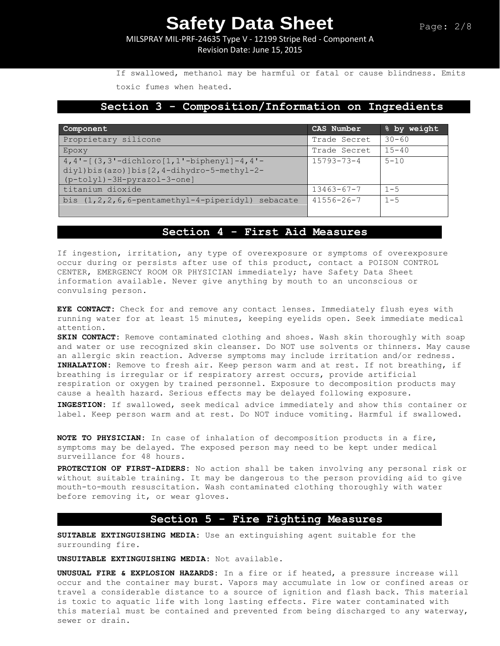MILSPRAY MIL-PRF-24635 Type V - 12199 Stripe Red - Component A Revision Date: June 15, 2015

If swallowed, methanol may be harmful or fatal or cause blindness. Emits toxic fumes when heated.

### **Section 3 - Composition/Information on Ingredients**

| Component                                                                                                                       | CAS Number       | % by weight |
|---------------------------------------------------------------------------------------------------------------------------------|------------------|-------------|
| Proprietary silicone                                                                                                            | Trade Secret     | $30 - 60$   |
| Epoxy                                                                                                                           | Trade Secret     | $15 - 40$   |
| $4, 4'$ - $[(3, 3'-dichloro[1, 1'-bipheny1]-4, 4'-$<br>diyl)bis(azo)]bis[2,4-dihydro-5-methyl-2-<br>(p-tolyl)-3H-pyrazol-3-one] | $15793 - 73 - 4$ | $5 - 10$    |
| titanium dioxide                                                                                                                | $13463 - 67 - 7$ | $1 - 5$     |
| bis $(1, 2, 2, 6, 6$ -pentamethyl-4-piperidyl)<br>sebacate                                                                      | $41556 - 26 - 7$ | $1 - 5$     |

## **Section 4 - First Aid Measures**

If ingestion, irritation, any type of overexposure or symptoms of overexposure occur during or persists after use of this product, contact a POISON CONTROL CENTER, EMERGENCY ROOM OR PHYSICIAN immediately; have Safety Data Sheet information available. Never give anything by mouth to an unconscious or convulsing person.

**EYE CONTACT:** Check for and remove any contact lenses. Immediately flush eyes with running water for at least 15 minutes, keeping eyelids open. Seek immediate medical attention.

**SKIN CONTACT:** Remove contaminated clothing and shoes. Wash skin thoroughly with soap and water or use recognized skin cleanser. Do NOT use solvents or thinners. May cause an allergic skin reaction. Adverse symptoms may include irritation and/or redness. **INHALATION:** Remove to fresh air. Keep person warm and at rest. If not breathing, if breathing is irregular or if respiratory arrest occurs, provide artificial respiration or oxygen by trained personnel. Exposure to decomposition products may cause a health hazard. Serious effects may be delayed following exposure.

**INGESTION:** If swallowed, seek medical advice immediately and show this container or label. Keep person warm and at rest. Do NOT induce vomiting. Harmful if swallowed.

**NOTE TO PHYSICIAN:** In case of inhalation of decomposition products in a fire, symptoms may be delayed. The exposed person may need to be kept under medical surveillance for 48 hours.

**PROTECTION OF FIRST-AIDERS:** No action shall be taken involving any personal risk or without suitable training. It may be dangerous to the person providing aid to give mouth-to-mouth resuscitation. Wash contaminated clothing thoroughly with water before removing it, or wear gloves.

### **Section 5 - Fire Fighting Measures**

**SUITABLE EXTINGUISHING MEDIA:** Use an extinguishing agent suitable for the surrounding fire.

**UNSUITABLE EXTINGUISHING MEDIA:** Not available.

**UNUSUAL FIRE & EXPLOSION HAZARDS:** In a fire or if heated, a pressure increase will occur and the container may burst. Vapors may accumulate in low or confined areas or travel a considerable distance to a source of ignition and flash back. This material is toxic to aquatic life with long lasting effects. Fire water contaminated with this material must be contained and prevented from being discharged to any waterway, sewer or drain.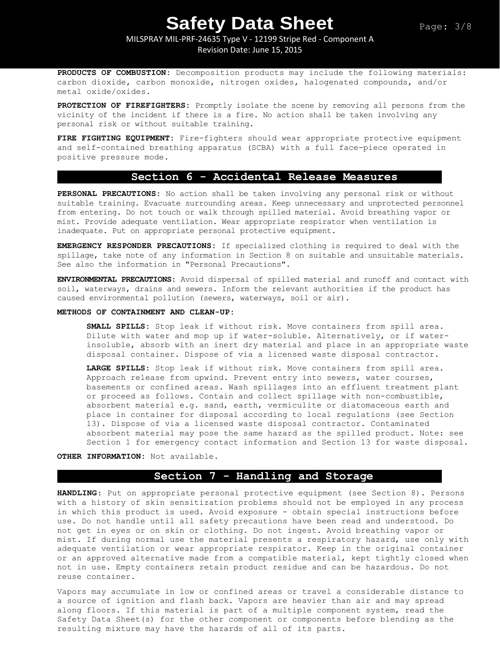### MILSPRAY MIL-PRF-24635 Type V - 12199 Stripe Red - Component A Revision Date: June 15, 2015

**PRODUCTS OF COMBUSTION:** Decomposition products may include the following materials: carbon dioxide, carbon monoxide, nitrogen oxides, halogenated compounds, and/or metal oxide/oxides.

**PROTECTION OF FIREFIGHTERS:** Promptly isolate the scene by removing all persons from the vicinity of the incident if there is a fire. No action shall be taken involving any personal risk or without suitable training.

**FIRE FIGHTING EQUIPMENT:** Fire-fighters should wear appropriate protective equipment and self-contained breathing apparatus (SCBA) with a full face-piece operated in positive pressure mode.

## **Section 6 - Accidental Release Measures**

**PERSONAL PRECAUTIONS:** No action shall be taken involving any personal risk or without suitable training. Evacuate surrounding areas. Keep unnecessary and unprotected personnel from entering. Do not touch or walk through spilled material. Avoid breathing vapor or mist. Provide adequate ventilation. Wear appropriate respirator when ventilation is inadequate. Put on appropriate personal protective equipment.

**EMERGENCY RESPONDER PRECAUTIONS:** If specialized clothing is required to deal with the spillage, take note of any information in Section 8 on suitable and unsuitable materials. See also the information in "Personal Precautions".

**ENVIRONMENTAL PRECAUTIONS:** Avoid dispersal of spilled material and runoff and contact with soil, waterways, drains and sewers. Inform the relevant authorities if the product has caused environmental pollution (sewers, waterways, soil or air).

#### **METHODS OF CONTAINMENT AND CLEAN-UP:**

**SMALL SPILLS:** Stop leak if without risk. Move containers from spill area. Dilute with water and mop up if water-soluble. Alternatively, or if waterinsoluble, absorb with an inert dry material and place in an appropriate waste disposal container. Dispose of via a licensed waste disposal contractor.

**LARGE SPILLS:** Stop leak if without risk. Move containers from spill area. Approach release from upwind. Prevent entry into sewers, water courses, basements or confined areas. Wash spillages into an effluent treatment plant or proceed as follows. Contain and collect spillage with non-combustible, absorbent material e.g. sand, earth, vermiculite or diatomaceous earth and place in container for disposal according to local regulations (see Section 13). Dispose of via a licensed waste disposal contractor. Contaminated absorbent material may pose the same hazard as the spilled product. Note: see Section 1 for emergency contact information and Section 13 for waste disposal.

**OTHER INFORMATION:** Not available.

### **Section 7 - Handling and Storage**

**HANDLING**: Put on appropriate personal protective equipment (see Section 8). Persons with a history of skin sensitization problems should not be employed in any process in which this product is used. Avoid exposure - obtain special instructions before use. Do not handle until all safety precautions have been read and understood. Do not get in eyes or on skin or clothing. Do not ingest. Avoid breathing vapor or mist. If during normal use the material presents a respiratory hazard, use only with adequate ventilation or wear appropriate respirator. Keep in the original container or an approved alternative made from a compatible material, kept tightly closed when not in use. Empty containers retain product residue and can be hazardous. Do not reuse container.

Vapors may accumulate in low or confined areas or travel a considerable distance to a source of ignition and flash back. Vapors are heavier than air and may spread along floors. If this material is part of a multiple component system, read the Safety Data Sheet(s) for the other component or components before blending as the resulting mixture may have the hazards of all of its parts.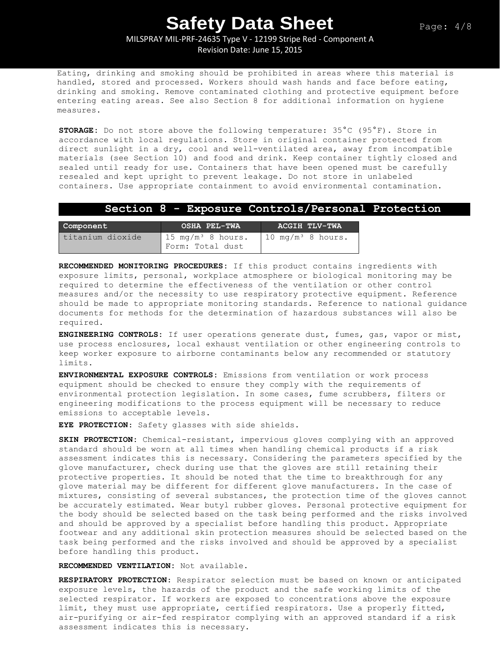MILSPRAY MIL-PRF-24635 Type V - 12199 Stripe Red - Component A Revision Date: June 15, 2015

Eating, drinking and smoking should be prohibited in areas where this material is handled, stored and processed. Workers should wash hands and face before eating, drinking and smoking. Remove contaminated clothing and protective equipment before entering eating areas. See also Section 8 for additional information on hygiene measures.

**STORAGE:** Do not store above the following temperature: 35°C (95°F). Store in accordance with local regulations. Store in original container protected from direct sunlight in a dry, cool and well-ventilated area, away from incompatible materials (see Section 10) and food and drink. Keep container tightly closed and sealed until ready for use. Containers that have been opened must be carefully resealed and kept upright to prevent leakage. Do not store in unlabeled containers. Use appropriate containment to avoid environmental contamination.

#### **Section 8 - Exposure Controls/Personal Protection**

| Component        | <b>OSHA PEL-TWA</b>                              | ACGIH TLV-TWA                |
|------------------|--------------------------------------------------|------------------------------|
| titanium dioxide | $15 \text{ mg/m}^3$ 8 hours.<br>Form: Total dust | $10 \text{ mg/m}^3$ 8 hours. |

**RECOMMENDED MONITORING PROCEDURES:** If this product contains ingredients with exposure limits, personal, workplace atmosphere or biological monitoring may be required to determine the effectiveness of the ventilation or other control measures and/or the necessity to use respiratory protective equipment. Reference should be made to appropriate monitoring standards. Reference to national guidance documents for methods for the determination of hazardous substances will also be required.

**ENGINEERING CONTROLS:** If user operations generate dust, fumes, gas, vapor or mist, use process enclosures, local exhaust ventilation or other engineering controls to keep worker exposure to airborne contaminants below any recommended or statutory limits.

**ENVIRONMENTAL EXPOSURE CONTROLS:** Emissions from ventilation or work process equipment should be checked to ensure they comply with the requirements of environmental protection legislation. In some cases, fume scrubbers, filters or engineering modifications to the process equipment will be necessary to reduce emissions to acceptable levels.

**EYE PROTECTION**: Safety glasses with side shields.

**SKIN PROTECTION:** Chemical-resistant, impervious gloves complying with an approved standard should be worn at all times when handling chemical products if a risk assessment indicates this is necessary. Considering the parameters specified by the glove manufacturer, check during use that the gloves are still retaining their protective properties. It should be noted that the time to breakthrough for any glove material may be different for different glove manufacturers. In the case of mixtures, consisting of several substances, the protection time of the gloves cannot be accurately estimated. Wear butyl rubber gloves. Personal protective equipment for the body should be selected based on the task being performed and the risks involved and should be approved by a specialist before handling this product. Appropriate footwear and any additional skin protection measures should be selected based on the task being performed and the risks involved and should be approved by a specialist before handling this product.

**RECOMMENDED VENTILATION:** Not available.

**RESPIRATORY PROTECTION**: Respirator selection must be based on known or anticipated exposure levels, the hazards of the product and the safe working limits of the selected respirator. If workers are exposed to concentrations above the exposure limit, they must use appropriate, certified respirators. Use a properly fitted, air-purifying or air-fed respirator complying with an approved standard if a risk assessment indicates this is necessary.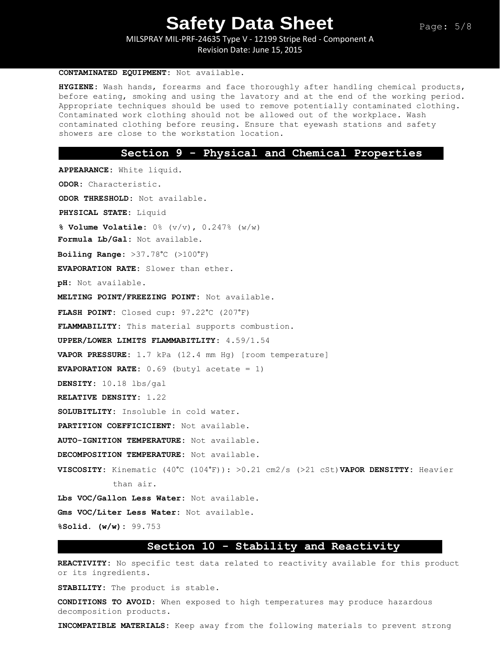MILSPRAY MIL-PRF-24635 Type V - 12199 Stripe Red - Component A Revision Date: June 15, 2015

#### **CONTAMINATED EQUIPMENT:** Not available.

**HYGIENE:** Wash hands, forearms and face thoroughly after handling chemical products, before eating, smoking and using the lavatory and at the end of the working period. Appropriate techniques should be used to remove potentially contaminated clothing. Contaminated work clothing should not be allowed out of the workplace. Wash contaminated clothing before reusing. Ensure that eyewash stations and safety showers are close to the workstation location.

#### **Section 9 - Physical and Chemical Properties**

**APPEARANCE:** White liquid. **ODOR:** Characteristic. **ODOR THRESHOLD:** Not available. **PHYSICAL STATE:** Liquid **% Volume Volatile:** 0% (v/v), 0.247% (w/w) **Formula Lb/Gal:** Not available. **Boiling Range:** >37.78°C (>100°F) **EVAPORATION RATE:** Slower than ether. **pH:** Not available. **MELTING POINT/FREEZING POINT:** Not available. **FLASH POINT:** Closed cup: 97.22°C (207°F) **FLAMMABILITY:** This material supports combustion. **UPPER/LOWER LIMITS FLAMMABITLITY:** 4.59/1.54 **VAPOR PRESSURE:** 1.7 kPa (12.4 mm Hg) [room temperature] **EVAPORATION RATE:** 0.69 (butyl acetate = 1) **DENSITY:** 10.18 lbs/gal **RELATIVE DENSITY:** 1.22 **SOLUBITLITY:** Insoluble in cold water. **PARTITION COEFFICICIENT:** Not available. **AUTO-IGNITION TEMPERATURE:** Not available. **DECOMPOSITION TEMPERATURE:** Not available. **VISCOSITY:** Kinematic (40°C (104°F)): >0.21 cm2/s (>21 cSt)**VAPOR DENSITTY:** Heavier than air. **Lbs VOC/Gallon Less Water:** Not available. **Gms VOC/Liter Less Water:** Not available.

**%Solid. (w/w):** 99.753

### **Section 10 - Stability and Reactivity**

**REACTIVITY:** No specific test data related to reactivity available for this product or its ingredients.

**STABILITY:** The product is stable.

**CONDITIONS TO AVOID:** When exposed to high temperatures may produce hazardous decomposition products.

**INCOMPATIBLE MATERIALS:** Keep away from the following materials to prevent strong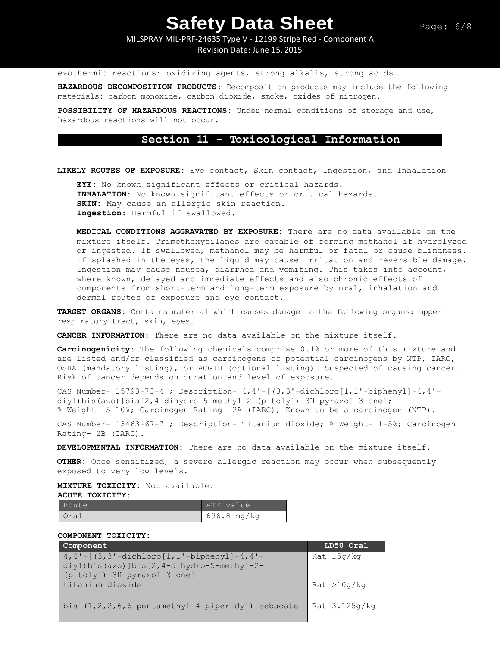MILSPRAY MIL-PRF-24635 Type V - 12199 Stripe Red - Component A

Revision Date: June 15, 2015

exothermic reactions: oxidizing agents, strong alkalis, strong acids.

**HAZARDOUS DECOMPOSITION PRODUCTS:** Decomposition products may include the following materials: carbon monoxide, carbon dioxide, smoke, oxides of nitrogen**.**

**POSSIBILITY OF HAZARDOUS REACTIONS:** Under normal conditions of storage and use, hazardous reactions will not occur.

### **Section 11 - Toxicological Information**

**LIKELY ROUTES OF EXPOSURE:** Eye contact, Skin contact, Ingestion, and Inhalation

**EYE:** No known significant effects or critical hazards. **INHALATION:** No known significant effects or critical hazards. **SKIN:** May cause an allergic skin reaction. **Ingestion:** Harmful if swallowed.

**MEDICAL CONDITIONS AGGRAVATED BY EXPOSURE:** There are no data available on the mixture itself. Trimethoxysilanes are capable of forming methanol if hydrolyzed or ingested. If swallowed, methanol may be harmful or fatal or cause blindness. If splashed in the eyes, the liquid may cause irritation and reversible damage. Ingestion may cause nausea, diarrhea and vomiting. This takes into account, where known, delayed and immediate effects and also chronic effects of components from short-term and long-term exposure by oral, inhalation and dermal routes of exposure and eye contact.

**TARGET ORGANS:** Contains material which causes damage to the following organs: upper respiratory tract, skin, eyes.

**CANCER INFORMATION:** There are no data available on the mixture itself.

**Carcinogenicity:** The following chemicals comprise 0.1% or more of this mixture and are listed and/or classified as carcinogens or potential carcinogens by NTP, IARC, OSHA (mandatory listing), or ACGIH (optional listing). Suspected of causing cancer. Risk of cancer depends on duration and level of exposure.

CAS Number-  $15793-73-4$ ; Description-  $4, 4'$ - $(3, 3'$ -dichloro $[1, 1'$ -biphenyl $]-4, 4'$ diyl)bis(azo)]bis[2,4-dihydro-5-methyl-2-(p-tolyl)-3H-pyrazol-3-one]; % Weight- 5-10%; Carcinogen Rating- 2A (IARC), Known to be a carcinogen (NTP).

CAS Number- 13463-67-7 ; Description- Titanium dioxide; % Weight- 1-5%; Carcinogen Rating- 2B (IARC).

**DEVELOPMENTAL INFORMATION:** There are no data available on the mixture itself.

**OTHER:** Once sensitized, a severe allergic reaction may occur when subsequently exposed to very low levels.

**MIXTURE TOXICITY:** Not available.

**ACUTE TOXICITY:** 

| Route | ATE value   |
|-------|-------------|
| Urai  | 696.8 mg/kg |

**COMPONENT TOXICITY:**

| Component                                               | LD50 Oral     |
|---------------------------------------------------------|---------------|
| $4,4'-[(3,3'-dichloro[1,1'-bipheny1]-4,4'-1]$           | Rat 15q/kq    |
| $diff$ )bis(azo)]bis[2,4-dihydro-5-methyl-2-            |               |
| (p-tolyl)-3H-pyrazol-3-one]                             |               |
| titanium dioxide                                        | Rat > 10q/kg  |
| bis $(1, 2, 2, 6, 6$ -pentamethyl-4-piperidyl) sebacate | Rat 3.125g/kg |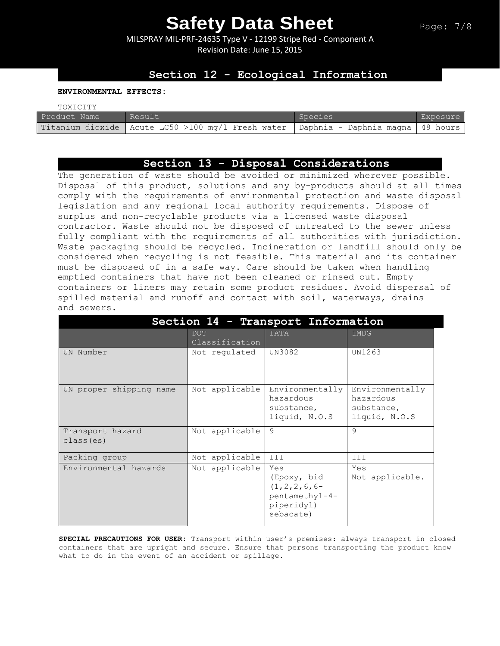MILSPRAY MIL-PRF-24635 Type V - 12199 Stripe Red - Component A Revision Date: June 15, 2015

### **Section 12 - Ecological Information**

**ENVIRONMENTAL EFFECTS:**

| TOXICITY     |                                                                                          |         |          |
|--------------|------------------------------------------------------------------------------------------|---------|----------|
| Product Name | Result                                                                                   | Species | Exposure |
|              | Titanium dioxide   Acute LC50 >100 mg/l Fresh water   Daphnia - Daphnia magna   48 hours |         |          |

### **Section 13 - Disposal Considerations**

The generation of waste should be avoided or minimized wherever possible. Disposal of this product, solutions and any by-products should at all times comply with the requirements of environmental protection and waste disposal legislation and any regional local authority requirements. Dispose of surplus and non-recyclable products via a licensed waste disposal contractor. Waste should not be disposed of untreated to the sewer unless fully compliant with the requirements of all authorities with jurisdiction. Waste packaging should be recycled. Incineration or landfill should only be considered when recycling is not feasible. This material and its container must be disposed of in a safe way. Care should be taken when handling emptied containers that have not been cleaned or rinsed out. Empty containers or liners may retain some product residues. Avoid dispersal of spilled material and runoff and contact with soil, waterways, drains and sewers.

| Section 14 - Transport Information |                       |                                                                                      |                                                             |  |
|------------------------------------|-----------------------|--------------------------------------------------------------------------------------|-------------------------------------------------------------|--|
|                                    | DOT<br>Classification | IATA                                                                                 | <b>IMDG</b>                                                 |  |
| UN Number                          | Not regulated         | UN3082                                                                               | UN1263                                                      |  |
| UN proper shipping name            | Not applicable        | Environmentally<br>hazardous<br>substance,<br>liquid, N.O.S                          | Environmentally<br>hazardous<br>substance,<br>liquid, N.O.S |  |
| Transport hazard<br>class (es)     | Not applicable        | 9                                                                                    | $\mathsf{Q}$                                                |  |
| Packing group                      | Not applicable        | III                                                                                  | III                                                         |  |
| Environmental hazards              | Not applicable        | Yes<br>(Epoxy, bid<br>$(1, 2, 2, 6, 6-$<br>pentamethyl-4-<br>piperidyl)<br>sebacate) | Yes<br>Not applicable.                                      |  |

**SPECIAL PRECAUTIONS FOR USER:** Transport within user's premises: always transport in closed containers that are upright and secure. Ensure that persons transporting the product know what to do in the event of an accident or spillage.